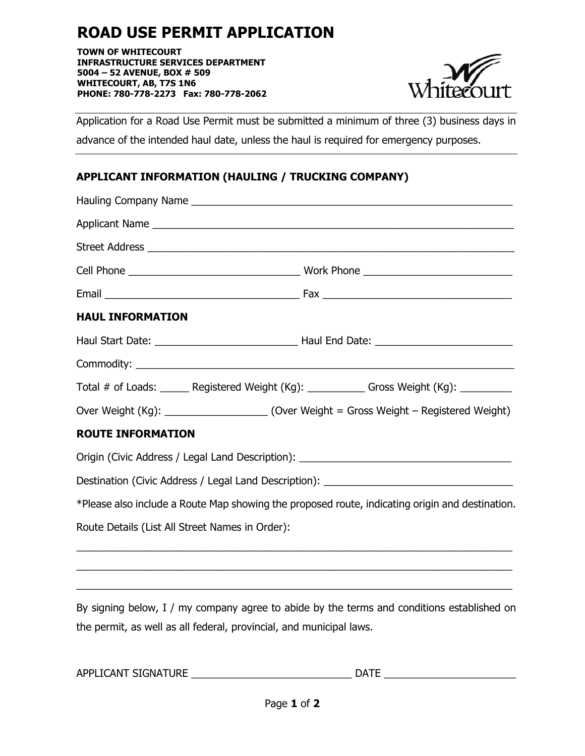## **ROAD USE PERMIT APPLICATION**

**TOWN OF WHITECOURT INFRASTRUCTURE SERVICES DEPARTMENT 5004 – 52 AVENUE, BOX # 509 WHITECOURT, AB, T7S 1N6 PHONE: 780-778-2273 Fax: 780-778-2062**



Application for a Road Use Permit must be submitted a minimum of three (3) business days in advance of the intended haul date, unless the haul is required for emergency purposes.

## **APPLICANT INFORMATION (HAULING / TRUCKING COMPANY)**

| <b>HAUL INFORMATION</b>                                                                         |                                                                                          |  |  |  |
|-------------------------------------------------------------------------------------------------|------------------------------------------------------------------------------------------|--|--|--|
|                                                                                                 |                                                                                          |  |  |  |
|                                                                                                 |                                                                                          |  |  |  |
| Total # of Loads: ______ Registered Weight (Kg): ___________ Gross Weight (Kg): _________       |                                                                                          |  |  |  |
|                                                                                                 | Over Weight (Kg): ______________________(Over Weight = Gross Weight - Registered Weight) |  |  |  |
| <b>ROUTE INFORMATION</b>                                                                        |                                                                                          |  |  |  |
| Origin (Civic Address / Legal Land Description): ________________________________               |                                                                                          |  |  |  |
| Destination (Civic Address / Legal Land Description): ___________________________               |                                                                                          |  |  |  |
| *Please also include a Route Map showing the proposed route, indicating origin and destination. |                                                                                          |  |  |  |
| Route Details (List All Street Names in Order):                                                 |                                                                                          |  |  |  |

By signing below, I / my company agree to abide by the terms and conditions established on the permit, as well as all federal, provincial, and municipal laws.

\_\_\_\_\_\_\_\_\_\_\_\_\_\_\_\_\_\_\_\_\_\_\_\_\_\_\_\_\_\_\_\_\_\_\_\_\_\_\_\_\_\_\_\_\_\_\_\_\_\_\_\_\_\_\_\_\_\_\_\_\_\_\_\_\_\_\_\_\_\_\_\_\_\_\_\_ \_\_\_\_\_\_\_\_\_\_\_\_\_\_\_\_\_\_\_\_\_\_\_\_\_\_\_\_\_\_\_\_\_\_\_\_\_\_\_\_\_\_\_\_\_\_\_\_\_\_\_\_\_\_\_\_\_\_\_\_\_\_\_\_\_\_\_\_\_\_\_\_\_\_\_\_

| APPLICANT SIGNATURE | <b>DATF</b> |
|---------------------|-------------|
|                     |             |